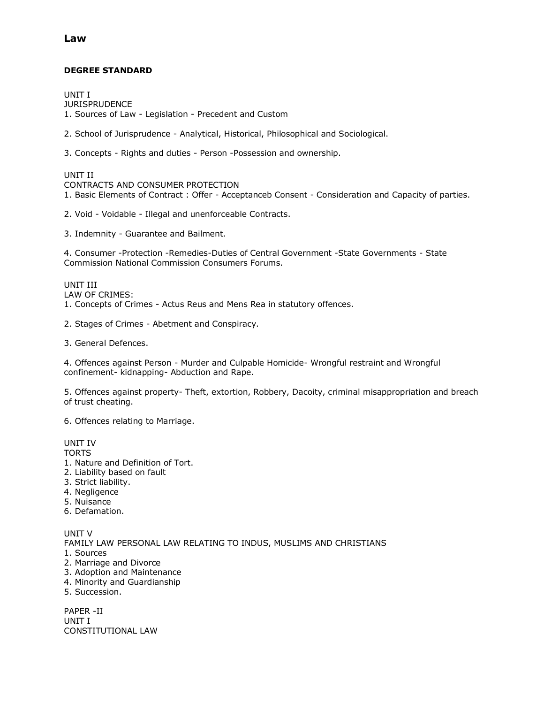### **DEGREE STANDARD**

UNIT I **JURISPRUDENCE** 1. Sources of Law - Legislation - Precedent and Custom

2. School of Jurisprudence - Analytical, Historical, Philosophical and Sociological.

3. Concepts - Rights and duties - Person -Possession and ownership.

UNIT II

CONTRACTS AND CONSUMER PROTECTION

1. Basic Elements of Contract : Offer - Acceptanceb Consent - Consideration and Capacity of parties.

2. Void - Voidable - Illegal and unenforceable Contracts.

3. Indemnity - Guarantee and Bailment.

4. Consumer -Protection -Remedies-Duties of Central Government -State Governments - State Commission National Commission Consumers Forums.

UNIT III LAW OF CRIMES: 1. Concepts of Crimes - Actus Reus and Mens Rea in statutory offences.

2. Stages of Crimes - Abetment and Conspiracy.

3. General Defences.

4. Offences against Person - Murder and Culpable Homicide- Wrongful restraint and Wrongful confinement- kidnapping- Abduction and Rape.

5. Offences against property- Theft, extortion, Robbery, Dacoity, criminal misappropriation and breach of trust cheating.

6. Offences relating to Marriage.

#### UNIT IV

**TORTS** 

- 1. Nature and Definition of Tort.
- 2. Liability based on fault
- 3. Strict liability.
- 4. Negligence
- 5. Nuisance
- 6. Defamation.

UNIT V FAMILY LAW PERSONAL LAW RELATING TO INDUS, MUSLIMS AND CHRISTIANS 1. Sources 2. Marriage and Divorce 3. Adoption and Maintenance 4. Minority and Guardianship 5. Succession.

PAPER -II

UNIT I CONSTITUTIONAL LAW

## **Law**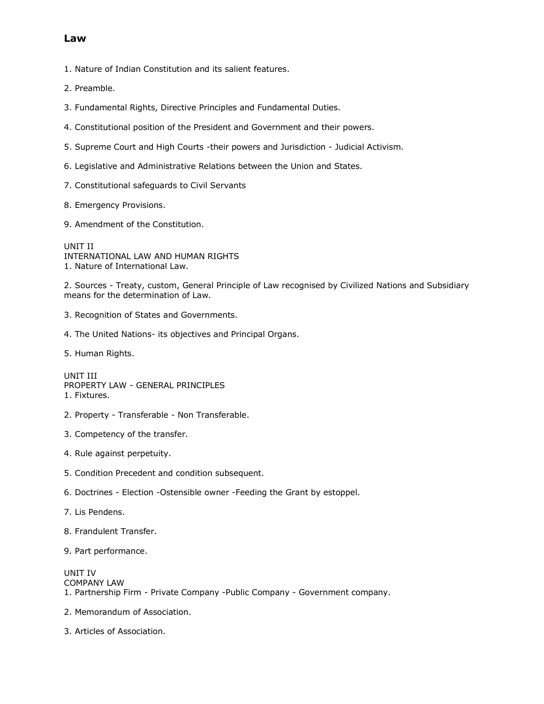## **Law**

1. Nature of Indian Constitution and its salient features.

- 2. Preamble.
- 3. Fundamental Rights, Directive Principles and Fundamental Duties.
- 4. Constitutional position of the President and Government and their powers.
- 5. Supreme Court and High Courts -their powers and Jurisdiction Judicial Activism.
- 6. Legislative and Administrative Relations between the Union and States.
- 7. Constitutional safeguards to Civil Servants
- 8. Emergency Provisions.
- 9. Amendment of the Constitution.

UNIT II INTERNATIONAL LAW AND HUMAN RIGHTS 1. Nature of International Law.

2. Sources - Treaty, custom, General Principle of Law recognised by Civilized Nations and Subsidiary means for the determination of Law.

- 3. Recognition of States and Governments.
- 4. The United Nations- its objectives and Principal Organs.
- 5. Human Rights.

UNIT III PROPERTY LAW - GENERAL PRINCIPLES 1. Fixtures.

- 2. Property Transferable Non Transferable.
- 3. Competency of the transfer.
- 4. Rule against perpetuity.
- 5. Condition Precedent and condition subsequent.
- 6. Doctrines Election -Ostensible owner -Feeding the Grant by estoppel.
- 7. Lis Pendens.
- 8. Frandulent Transfer.
- 9. Part performance.

UNIT IV COMPANY LAW 1. Partnership Firm - Private Company -Public Company - Government company.

- 2. Memorandum of Association.
- 3. Articles of Association.